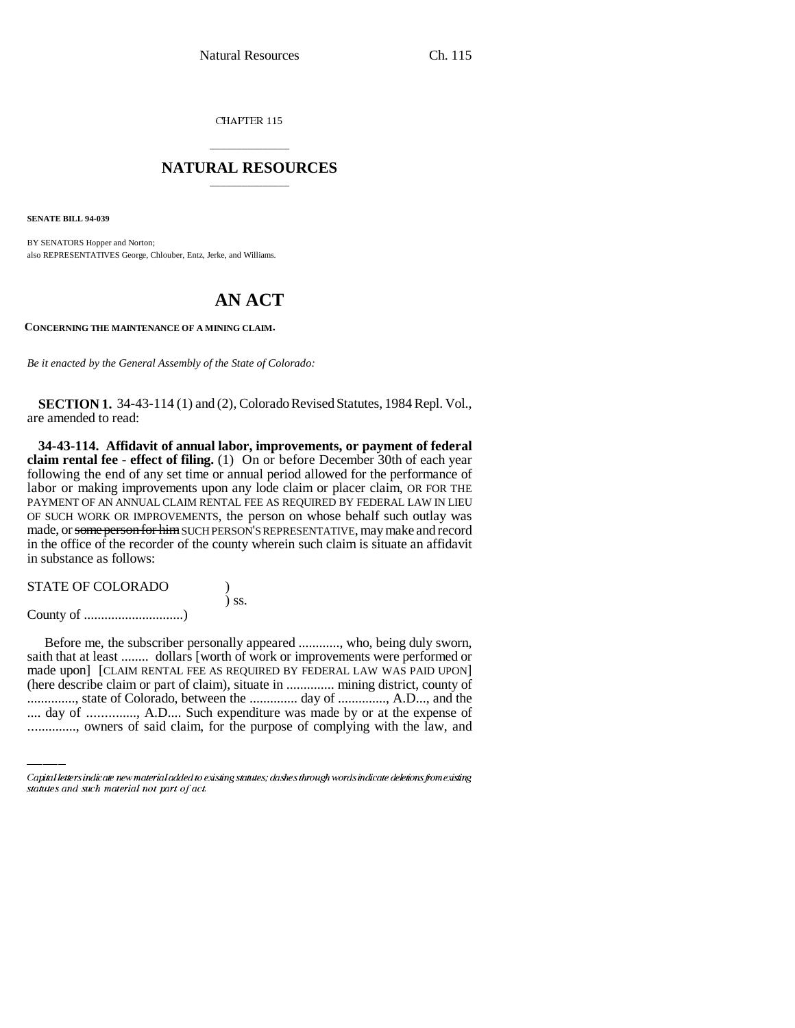CHAPTER 115

## \_\_\_\_\_\_\_\_\_\_\_\_\_\_\_ **NATURAL RESOURCES** \_\_\_\_\_\_\_\_\_\_\_\_\_\_\_

**SENATE BILL 94-039**

BY SENATORS Hopper and Norton; also REPRESENTATIVES George, Chlouber, Entz, Jerke, and Williams.

## **AN ACT**

**CONCERNING THE MAINTENANCE OF A MINING CLAIM.**

*Be it enacted by the General Assembly of the State of Colorado:*

**SECTION 1.** 34-43-114 (1) and (2), Colorado Revised Statutes, 1984 Repl. Vol., are amended to read:

**34-43-114. Affidavit of annual labor, improvements, or payment of federal claim rental fee - effect of filing.** (1) On or before December 30th of each year following the end of any set time or annual period allowed for the performance of labor or making improvements upon any lode claim or placer claim, OR FOR THE PAYMENT OF AN ANNUAL CLAIM RENTAL FEE AS REQUIRED BY FEDERAL LAW IN LIEU OF SUCH WORK OR IMPROVEMENTS, the person on whose behalf such outlay was made, or some person for him SUCH PERSON'S REPRESENTATIVE, may make and record in the office of the recorder of the county wherein such claim is situate an affidavit in substance as follows:

| <b>STATE OF COLORADO</b> |            |
|--------------------------|------------|
|                          | $\sum$ SS. |
|                          |            |

made upon] [CLAIM RENTAL FEE AS REQUIRED BY FEDERAL LAW WAS PAID UPON] Before me, the subscriber personally appeared ............, who, being duly sworn, saith that at least ........ dollars [worth of work or improvements were performed or (here describe claim or part of claim), situate in .............. mining district, county of .............., state of Colorado, between the .............. day of .............., A.D..., and the .... day of .............., A.D.... Such expenditure was made by or at the expense of .............., owners of said claim, for the purpose of complying with the law, and

Capital letters indicate new material added to existing statutes; dashes through words indicate deletions from existing statutes and such material not part of act.